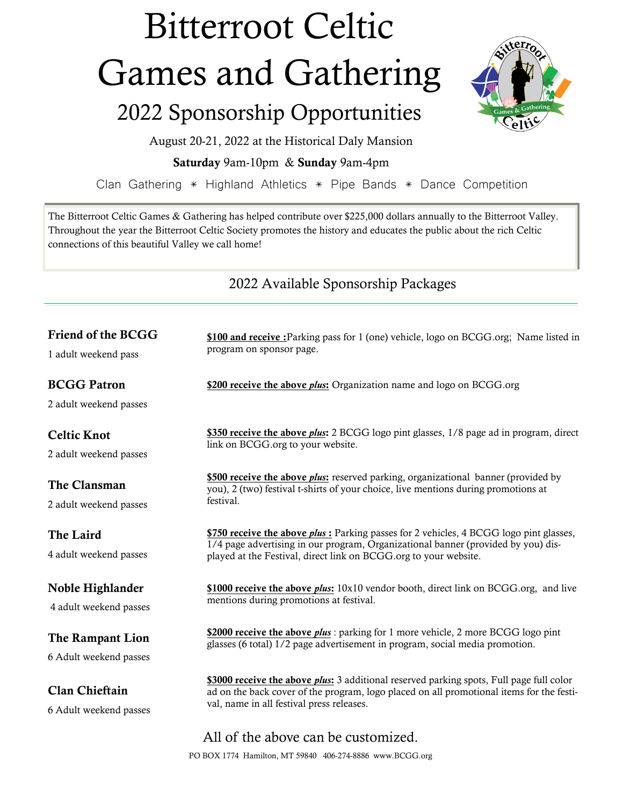## Bitterroot Celtic Games and Gathering

## 2022 Sponsorship Opportunities



August 20-21, 2022 at the Historical Daly Mansion

**Saturday** 9am-10pm & **Sunday** 9am-4pm

Clan Gathering \* Highland Athletics \* Pipe Bands \* Dance Competition

The Bitterroot Celtic Games & Gathering has helped contribute over \$225,000 dollars annually to the Bitterroot Valley. Throughout the year the Bitterroot Celtic Society promotes the history and educates the public about the rich Celtic connections of this beautiful Valley we call home!

2022 Available Sponsorship Packages

| Friend of the BCGG                              | \$100 and receive : Parking pass for 1 (one) vehicle, logo on BCGG.org; Name listed in<br>program on sponsor page.                                                                                                                                      |  |
|-------------------------------------------------|---------------------------------------------------------------------------------------------------------------------------------------------------------------------------------------------------------------------------------------------------------|--|
| 1 adult weekend pass                            |                                                                                                                                                                                                                                                         |  |
| <b>BCGG Patron</b>                              | \$200 receive the above <i>plus</i> : Organization name and logo on BCGG.org                                                                                                                                                                            |  |
| 2 adult weekend passes                          |                                                                                                                                                                                                                                                         |  |
| <b>Celtic Knot</b>                              | \$350 receive the above <i>plus</i> : 2 BCGG logo pint glasses, 1/8 page ad in program, direct<br>link on BCGG.org to your website.                                                                                                                     |  |
| 2 adult weekend passes                          |                                                                                                                                                                                                                                                         |  |
| The Clansman                                    | \$500 receive the above <i>plus</i> : reserved parking, organizational banner (provided by<br>you), 2 (two) festival t-shirts of your choice, live mentions during promotions at<br>festival.                                                           |  |
| 2 adult weekend passes                          |                                                                                                                                                                                                                                                         |  |
| The Laird<br>4 adult weekend passes             | \$750 receive the above <i>plus</i> : Parking passes for 2 vehicles, 4 BCGG logo pint glasses,<br>1/4 page advertising in our program, Organizational banner (provided by you) dis-<br>played at the Festival, direct link on BCGG.org to your website. |  |
| Noble Highlander<br>4 adult weekend passes      | \$1000 receive the above <i>plus</i> : $10x10$ vendor booth, direct link on BCGG.org, and live<br>mentions during promotions at festival.                                                                                                               |  |
| The Rampant Lion<br>6 Adult weekend passes      | \$2000 receive the above <i>plus</i> : parking for 1 more vehicle, 2 more BCGG logo pint<br>glasses (6 total) 1/2 page advertisement in program, social media promotion.                                                                                |  |
| <b>Clan Chieftain</b><br>6 Adult weekend passes | \$3000 receive the above <i>plus</i> : 3 additional reserved parking spots, Full page full color<br>ad on the back cover of the program, logo placed on all promotional items for the festi-<br>val, name in all festival press releases.               |  |
|                                                 | All of the above can be customized.                                                                                                                                                                                                                     |  |

PO BOX 1774 Hamilton, MT 59840 406-274-8886 www.BCGG.org